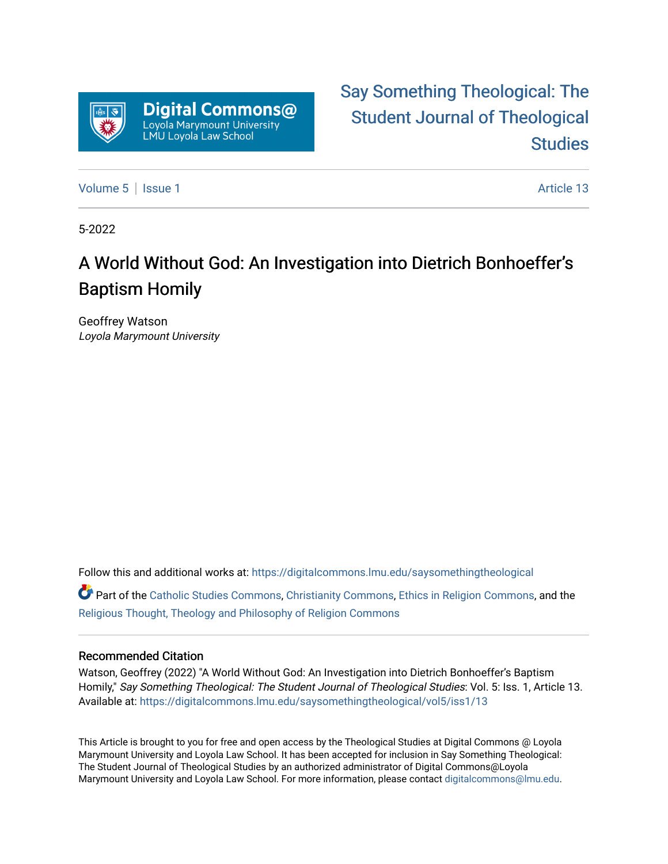

# [Say Something Theological: The](https://digitalcommons.lmu.edu/saysomethingtheological)  [Student Journal of Theological](https://digitalcommons.lmu.edu/saysomethingtheological)  **Studies**

[Volume 5](https://digitalcommons.lmu.edu/saysomethingtheological/vol5) | [Issue 1](https://digitalcommons.lmu.edu/saysomethingtheological/vol5/iss1) Article 13

5-2022

# A World Without God: An Investigation into Dietrich Bonhoeffer's Baptism Homily

Geoffrey Watson Loyola Marymount University

Follow this and additional works at: [https://digitalcommons.lmu.edu/saysomethingtheological](https://digitalcommons.lmu.edu/saysomethingtheological?utm_source=digitalcommons.lmu.edu%2Fsaysomethingtheological%2Fvol5%2Fiss1%2F13&utm_medium=PDF&utm_campaign=PDFCoverPages)

Part of the [Catholic Studies Commons](http://network.bepress.com/hgg/discipline/1294?utm_source=digitalcommons.lmu.edu%2Fsaysomethingtheological%2Fvol5%2Fiss1%2F13&utm_medium=PDF&utm_campaign=PDFCoverPages), [Christianity Commons](http://network.bepress.com/hgg/discipline/1181?utm_source=digitalcommons.lmu.edu%2Fsaysomethingtheological%2Fvol5%2Fiss1%2F13&utm_medium=PDF&utm_campaign=PDFCoverPages), [Ethics in Religion Commons,](http://network.bepress.com/hgg/discipline/541?utm_source=digitalcommons.lmu.edu%2Fsaysomethingtheological%2Fvol5%2Fiss1%2F13&utm_medium=PDF&utm_campaign=PDFCoverPages) and the [Religious Thought, Theology and Philosophy of Religion Commons](http://network.bepress.com/hgg/discipline/544?utm_source=digitalcommons.lmu.edu%2Fsaysomethingtheological%2Fvol5%2Fiss1%2F13&utm_medium=PDF&utm_campaign=PDFCoverPages) 

#### Recommended Citation

Watson, Geoffrey (2022) "A World Without God: An Investigation into Dietrich Bonhoeffer's Baptism Homily," Say Something Theological: The Student Journal of Theological Studies: Vol. 5: Iss. 1, Article 13. Available at: [https://digitalcommons.lmu.edu/saysomethingtheological/vol5/iss1/13](https://digitalcommons.lmu.edu/saysomethingtheological/vol5/iss1/13?utm_source=digitalcommons.lmu.edu%2Fsaysomethingtheological%2Fvol5%2Fiss1%2F13&utm_medium=PDF&utm_campaign=PDFCoverPages)

This Article is brought to you for free and open access by the Theological Studies at Digital Commons @ Loyola Marymount University and Loyola Law School. It has been accepted for inclusion in Say Something Theological: The Student Journal of Theological Studies by an authorized administrator of Digital Commons@Loyola Marymount University and Loyola Law School. For more information, please contact [digitalcommons@lmu.edu](mailto:digitalcommons@lmu.edu).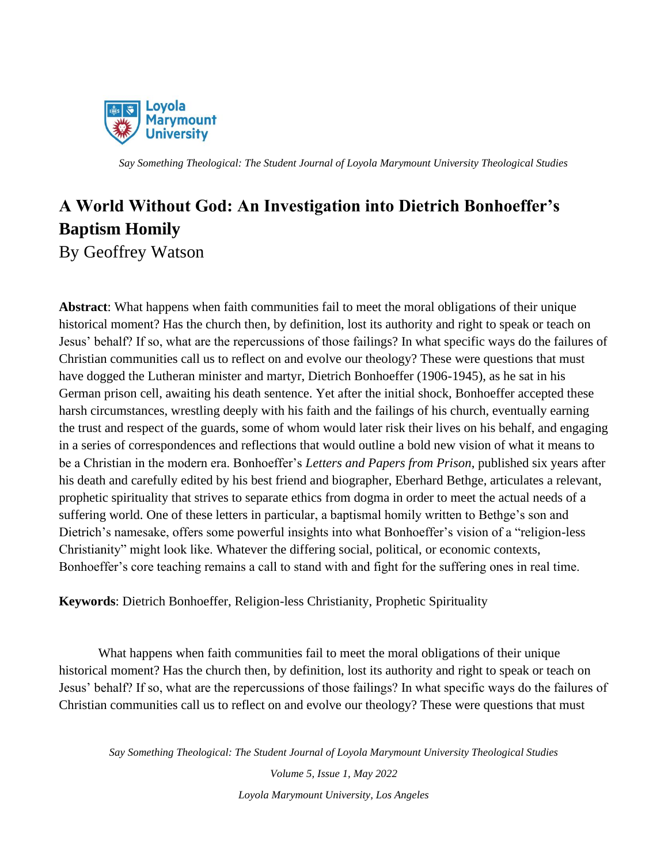

## **A World Without God: An Investigation into Dietrich Bonhoeffer's Baptism Homily** By Geoffrey Watson

**Abstract**: What happens when faith communities fail to meet the moral obligations of their unique historical moment? Has the church then, by definition, lost its authority and right to speak or teach on Jesus' behalf? If so, what are the repercussions of those failings? In what specific ways do the failures of Christian communities call us to reflect on and evolve our theology? These were questions that must have dogged the Lutheran minister and martyr, Dietrich Bonhoeffer (1906-1945), as he sat in his German prison cell, awaiting his death sentence. Yet after the initial shock, Bonhoeffer accepted these harsh circumstances, wrestling deeply with his faith and the failings of his church, eventually earning the trust and respect of the guards, some of whom would later risk their lives on his behalf, and engaging in a series of correspondences and reflections that would outline a bold new vision of what it means to be a Christian in the modern era. Bonhoeffer's *Letters and Papers from Prison*, published six years after his death and carefully edited by his best friend and biographer, Eberhard Bethge, articulates a relevant, prophetic spirituality that strives to separate ethics from dogma in order to meet the actual needs of a suffering world. One of these letters in particular, a baptismal homily written to Bethge's son and Dietrich's namesake, offers some powerful insights into what Bonhoeffer's vision of a "religion-less Christianity" might look like. Whatever the differing social, political, or economic contexts, Bonhoeffer's core teaching remains a call to stand with and fight for the suffering ones in real time.

**Keywords**: Dietrich Bonhoeffer, Religion-less Christianity, Prophetic Spirituality

What happens when faith communities fail to meet the moral obligations of their unique historical moment? Has the church then, by definition, lost its authority and right to speak or teach on Jesus' behalf? If so, what are the repercussions of those failings? In what specific ways do the failures of Christian communities call us to reflect on and evolve our theology? These were questions that must

*Say Something Theological: The Student Journal of Loyola Marymount University Theological Studies*

*Volume 5, Issue 1, May 2022 Loyola Marymount University, Los Angeles*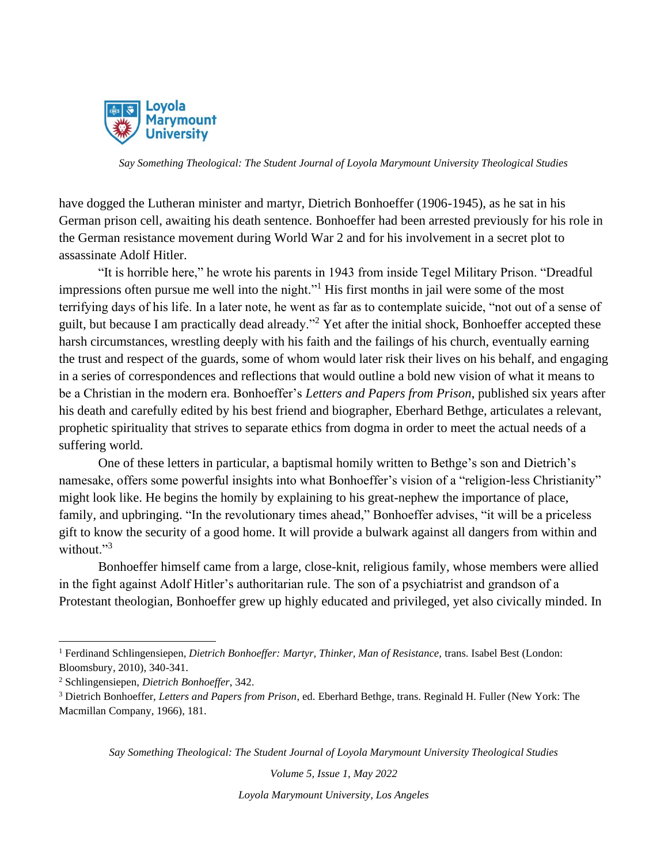

have dogged the Lutheran minister and martyr, Dietrich Bonhoeffer (1906-1945), as he sat in his German prison cell, awaiting his death sentence. Bonhoeffer had been arrested previously for his role in the German resistance movement during World War 2 and for his involvement in a secret plot to assassinate Adolf Hitler.

"It is horrible here," he wrote his parents in 1943 from inside Tegel Military Prison. "Dreadful impressions often pursue me well into the night."<sup>1</sup> His first months in jail were some of the most terrifying days of his life. In a later note, he went as far as to contemplate suicide, "not out of a sense of guilt, but because I am practically dead already."<sup>2</sup> Yet after the initial shock, Bonhoeffer accepted these harsh circumstances, wrestling deeply with his faith and the failings of his church, eventually earning the trust and respect of the guards, some of whom would later risk their lives on his behalf, and engaging in a series of correspondences and reflections that would outline a bold new vision of what it means to be a Christian in the modern era. Bonhoeffer's *Letters and Papers from Prison*, published six years after his death and carefully edited by his best friend and biographer, Eberhard Bethge, articulates a relevant, prophetic spirituality that strives to separate ethics from dogma in order to meet the actual needs of a suffering world.

One of these letters in particular, a baptismal homily written to Bethge's son and Dietrich's namesake, offers some powerful insights into what Bonhoeffer's vision of a "religion-less Christianity" might look like. He begins the homily by explaining to his great-nephew the importance of place, family, and upbringing. "In the revolutionary times ahead," Bonhoeffer advises, "it will be a priceless gift to know the security of a good home. It will provide a bulwark against all dangers from within and without."<sup>3</sup>

Bonhoeffer himself came from a large, close-knit, religious family, whose members were allied in the fight against Adolf Hitler's authoritarian rule. The son of a psychiatrist and grandson of a Protestant theologian, Bonhoeffer grew up highly educated and privileged, yet also civically minded. In

*Say Something Theological: The Student Journal of Loyola Marymount University Theological Studies*

*Volume 5, Issue 1, May 2022*

<sup>&</sup>lt;sup>1</sup> Ferdinand Schlingensiepen, *Dietrich Bonhoeffer: Martyr, Thinker, Man of Resistance, trans. Isabel Best (London:* Bloomsbury, 2010), 340-341.

<sup>2</sup> Schlingensiepen, *Dietrich Bonhoeffer*, 342.

<sup>3</sup> Dietrich Bonhoeffer, *Letters and Papers from Prison*, ed. Eberhard Bethge, trans. Reginald H. Fuller (New York: The Macmillan Company, 1966), 181.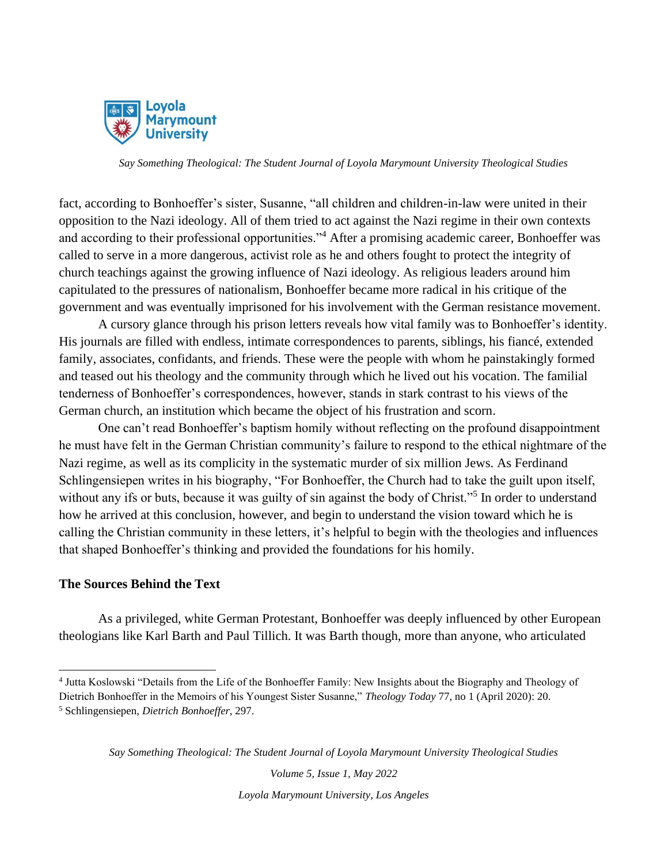

fact, according to Bonhoeffer's sister, Susanne, "all children and children-in-law were united in their opposition to the Nazi ideology. All of them tried to act against the Nazi regime in their own contexts and according to their professional opportunities."<sup>4</sup> After a promising academic career, Bonhoeffer was called to serve in a more dangerous, activist role as he and others fought to protect the integrity of church teachings against the growing influence of Nazi ideology. As religious leaders around him capitulated to the pressures of nationalism, Bonhoeffer became more radical in his critique of the government and was eventually imprisoned for his involvement with the German resistance movement.

A cursory glance through his prison letters reveals how vital family was to Bonhoeffer's identity. His journals are filled with endless, intimate correspondences to parents, siblings, his fiancé, extended family, associates, confidants, and friends. These were the people with whom he painstakingly formed and teased out his theology and the community through which he lived out his vocation. The familial tenderness of Bonhoeffer's correspondences, however, stands in stark contrast to his views of the German church, an institution which became the object of his frustration and scorn.

One can't read Bonhoeffer's baptism homily without reflecting on the profound disappointment he must have felt in the German Christian community's failure to respond to the ethical nightmare of the Nazi regime, as well as its complicity in the systematic murder of six million Jews. As Ferdinand Schlingensiepen writes in his biography, "For Bonhoeffer, the Church had to take the guilt upon itself, without any ifs or buts, because it was guilty of sin against the body of Christ."<sup>5</sup> In order to understand how he arrived at this conclusion, however, and begin to understand the vision toward which he is calling the Christian community in these letters, it's helpful to begin with the theologies and influences that shaped Bonhoeffer's thinking and provided the foundations for his homily.

#### **The Sources Behind the Text**

As a privileged, white German Protestant, Bonhoeffer was deeply influenced by other European theologians like Karl Barth and Paul Tillich. It was Barth though, more than anyone, who articulated

*Volume 5, Issue 1, May 2022*

<sup>4</sup> Jutta Koslowski "Details from the Life of the Bonhoeffer Family: New Insights about the Biography and Theology of Dietrich Bonhoeffer in the Memoirs of his Youngest Sister Susanne," *Theology Today* 77, no 1 (April 2020): 20. <sup>5</sup> Schlingensiepen, *Dietrich Bonhoeffer*, 297.

*Say Something Theological: The Student Journal of Loyola Marymount University Theological Studies*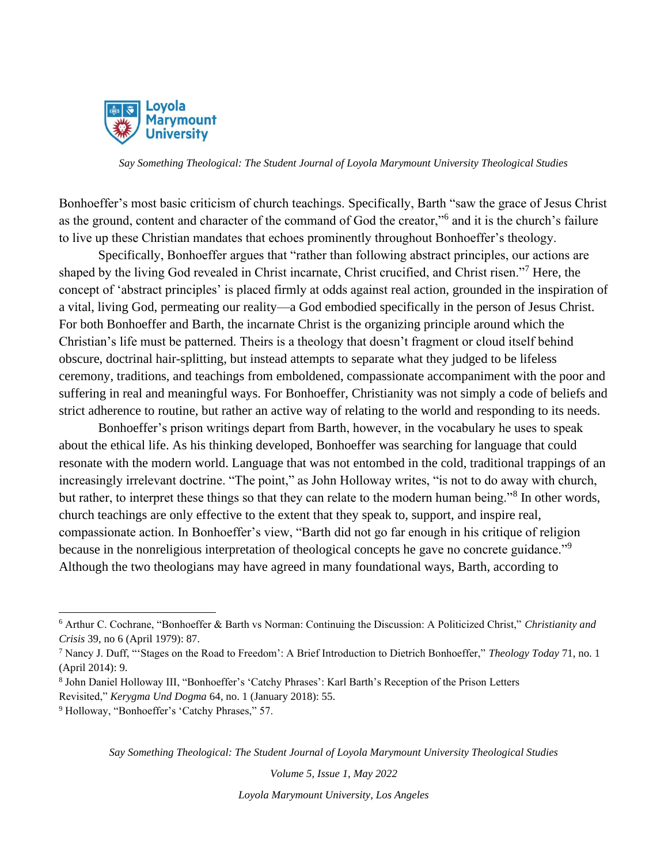

Bonhoeffer's most basic criticism of church teachings. Specifically, Barth "saw the grace of Jesus Christ as the ground, content and character of the command of God the creator,"<sup>6</sup> and it is the church's failure to live up these Christian mandates that echoes prominently throughout Bonhoeffer's theology.

Specifically, Bonhoeffer argues that "rather than following abstract principles, our actions are shaped by the living God revealed in Christ incarnate, Christ crucified, and Christ risen."<sup>7</sup> Here, the concept of 'abstract principles' is placed firmly at odds against real action, grounded in the inspiration of a vital, living God, permeating our reality—a God embodied specifically in the person of Jesus Christ. For both Bonhoeffer and Barth, the incarnate Christ is the organizing principle around which the Christian's life must be patterned. Theirs is a theology that doesn't fragment or cloud itself behind obscure, doctrinal hair-splitting, but instead attempts to separate what they judged to be lifeless ceremony, traditions, and teachings from emboldened, compassionate accompaniment with the poor and suffering in real and meaningful ways. For Bonhoeffer, Christianity was not simply a code of beliefs and strict adherence to routine, but rather an active way of relating to the world and responding to its needs.

Bonhoeffer's prison writings depart from Barth, however, in the vocabulary he uses to speak about the ethical life. As his thinking developed, Bonhoeffer was searching for language that could resonate with the modern world. Language that was not entombed in the cold, traditional trappings of an increasingly irrelevant doctrine. "The point," as John Holloway writes, "is not to do away with church, but rather, to interpret these things so that they can relate to the modern human being."<sup>8</sup> In other words, church teachings are only effective to the extent that they speak to, support, and inspire real, compassionate action. In Bonhoeffer's view, "Barth did not go far enough in his critique of religion because in the nonreligious interpretation of theological concepts he gave no concrete guidance."<sup>9</sup> Although the two theologians may have agreed in many foundational ways, Barth, according to

*Say Something Theological: The Student Journal of Loyola Marymount University Theological Studies*

*Volume 5, Issue 1, May 2022*

<sup>6</sup> Arthur C. Cochrane, "Bonhoeffer & Barth vs Norman: Continuing the Discussion: A Politicized Christ," *Christianity and Crisis* 39, no 6 (April 1979): 87.

<sup>7</sup> Nancy J. Duff, "'Stages on the Road to Freedom': A Brief Introduction to Dietrich Bonhoeffer," *Theology Today* 71, no. 1 (April 2014): 9.

<sup>8</sup> John Daniel Holloway III, "Bonhoeffer's 'Catchy Phrases': Karl Barth's Reception of the Prison Letters

Revisited," *Kerygma Und Dogma* 64, no. 1 (January 2018): 55.

<sup>9</sup> Holloway, "Bonhoeffer's 'Catchy Phrases," 57.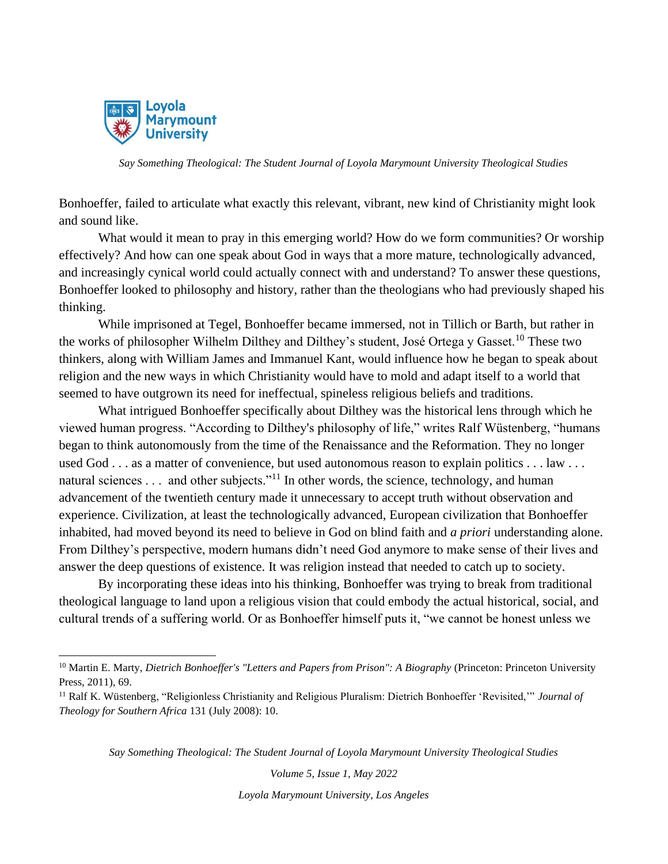

Bonhoeffer, failed to articulate what exactly this relevant, vibrant, new kind of Christianity might look and sound like.

What would it mean to pray in this emerging world? How do we form communities? Or worship effectively? And how can one speak about God in ways that a more mature, technologically advanced, and increasingly cynical world could actually connect with and understand? To answer these questions, Bonhoeffer looked to philosophy and history, rather than the theologians who had previously shaped his thinking.

While imprisoned at Tegel, Bonhoeffer became immersed, not in Tillich or Barth, but rather in the works of philosopher Wilhelm Dilthey and Dilthey's student, José Ortega y Gasset.<sup>10</sup> These two thinkers, along with William James and Immanuel Kant, would influence how he began to speak about religion and the new ways in which Christianity would have to mold and adapt itself to a world that seemed to have outgrown its need for ineffectual, spineless religious beliefs and traditions.

What intrigued Bonhoeffer specifically about Dilthey was the historical lens through which he viewed human progress. "According to Dilthey's philosophy of life," writes Ralf Wüstenberg, "humans began to think autonomously from the time of the Renaissance and the Reformation. They no longer used God . . . as a matter of convenience, but used autonomous reason to explain politics . . . law . . . natural sciences . . . and other subjects."<sup>11</sup> In other words, the science, technology, and human advancement of the twentieth century made it unnecessary to accept truth without observation and experience. Civilization, at least the technologically advanced, European civilization that Bonhoeffer inhabited, had moved beyond its need to believe in God on blind faith and *a priori* understanding alone. From Dilthey's perspective, modern humans didn't need God anymore to make sense of their lives and answer the deep questions of existence. It was religion instead that needed to catch up to society.

By incorporating these ideas into his thinking, Bonhoeffer was trying to break from traditional theological language to land upon a religious vision that could embody the actual historical, social, and cultural trends of a suffering world. Or as Bonhoeffer himself puts it, "we cannot be honest unless we

*Say Something Theological: The Student Journal of Loyola Marymount University Theological Studies*

*Volume 5, Issue 1, May 2022*

<sup>10</sup> Martin E. Marty, *Dietrich Bonhoeffer's "Letters and Papers from Prison": A Biography* (Princeton: Princeton University Press, 2011), 69.

<sup>11</sup> Ralf K. Wüstenberg, "Religionless Christianity and Religious Pluralism: Dietrich Bonhoeffer 'Revisited,'" *Journal of Theology for Southern Africa* 131 (July 2008): 10.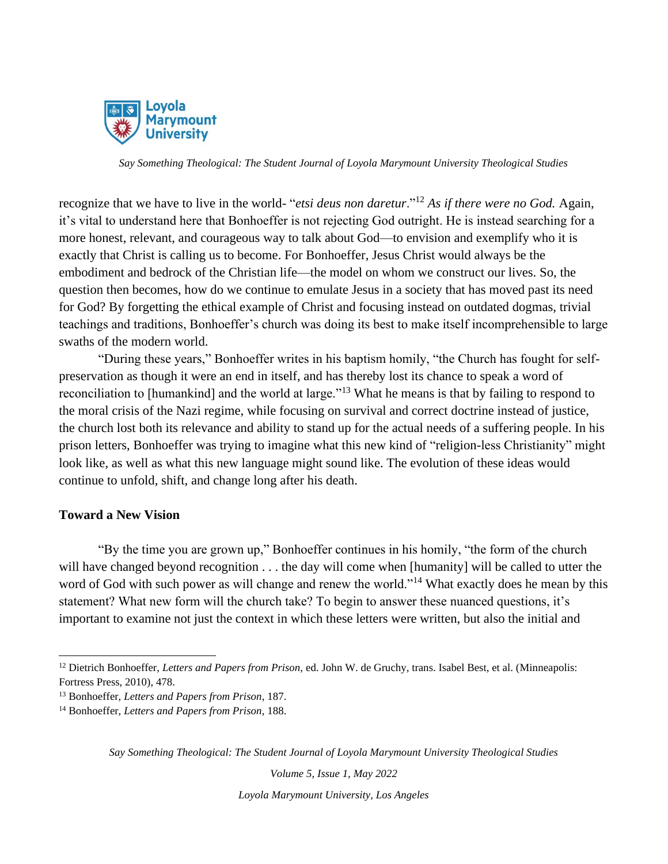

recognize that we have to live in the world- "*etsi deus non daretur*."<sup>12</sup> *As if there were no God.* Again, it's vital to understand here that Bonhoeffer is not rejecting God outright. He is instead searching for a more honest, relevant, and courageous way to talk about God—to envision and exemplify who it is exactly that Christ is calling us to become. For Bonhoeffer, Jesus Christ would always be the embodiment and bedrock of the Christian life—the model on whom we construct our lives. So, the question then becomes, how do we continue to emulate Jesus in a society that has moved past its need for God? By forgetting the ethical example of Christ and focusing instead on outdated dogmas, trivial teachings and traditions, Bonhoeffer's church was doing its best to make itself incomprehensible to large swaths of the modern world.

"During these years," Bonhoeffer writes in his baptism homily, "the Church has fought for selfpreservation as though it were an end in itself, and has thereby lost its chance to speak a word of reconciliation to [humankind] and the world at large."<sup>13</sup> What he means is that by failing to respond to the moral crisis of the Nazi regime, while focusing on survival and correct doctrine instead of justice, the church lost both its relevance and ability to stand up for the actual needs of a suffering people. In his prison letters, Bonhoeffer was trying to imagine what this new kind of "religion-less Christianity" might look like, as well as what this new language might sound like. The evolution of these ideas would continue to unfold, shift, and change long after his death.

### **Toward a New Vision**

"By the time you are grown up," Bonhoeffer continues in his homily, "the form of the church will have changed beyond recognition . . . the day will come when [humanity] will be called to utter the word of God with such power as will change and renew the world."<sup>14</sup> What exactly does he mean by this statement? What new form will the church take? To begin to answer these nuanced questions, it's important to examine not just the context in which these letters were written, but also the initial and

*Say Something Theological: The Student Journal of Loyola Marymount University Theological Studies*

*Volume 5, Issue 1, May 2022*

<sup>&</sup>lt;sup>12</sup> Dietrich Bonhoeffer, *Letters and Papers from Prison*, ed. John W. de Gruchy, trans. Isabel Best, et al. (Minneapolis: Fortress Press, 2010), 478.

<sup>13</sup> Bonhoeffer, *Letters and Papers from Prison*, 187.

<sup>14</sup> Bonhoeffer, *Letters and Papers from Prison*, 188.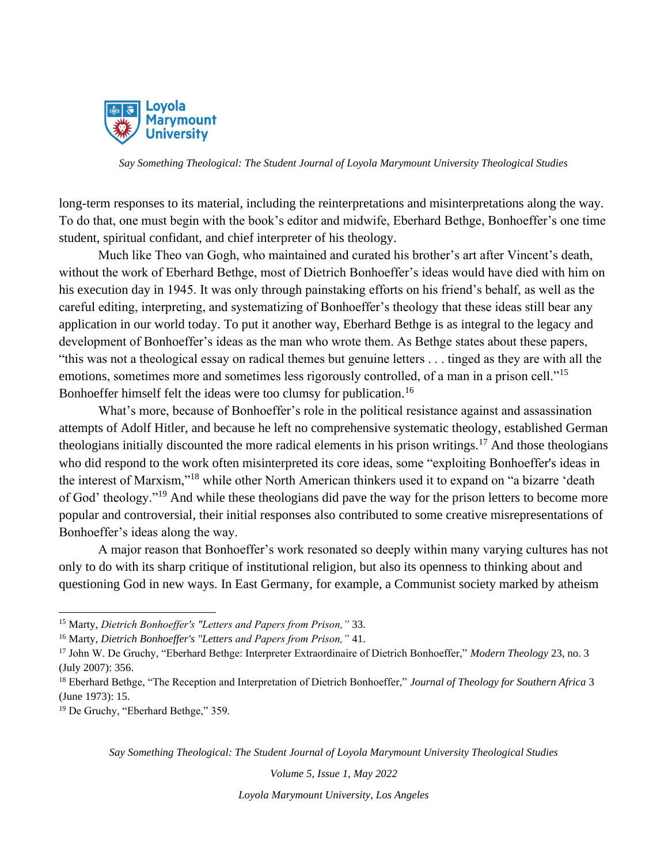

long-term responses to its material, including the reinterpretations and misinterpretations along the way. To do that, one must begin with the book's editor and midwife, Eberhard Bethge, Bonhoeffer's one time student, spiritual confidant, and chief interpreter of his theology.

Much like Theo van Gogh, who maintained and curated his brother's art after Vincent's death, without the work of Eberhard Bethge, most of Dietrich Bonhoeffer's ideas would have died with him on his execution day in 1945. It was only through painstaking efforts on his friend's behalf, as well as the careful editing, interpreting, and systematizing of Bonhoeffer's theology that these ideas still bear any application in our world today. To put it another way, Eberhard Bethge is as integral to the legacy and development of Bonhoeffer's ideas as the man who wrote them. As Bethge states about these papers, "this was not a theological essay on radical themes but genuine letters . . . tinged as they are with all the emotions, sometimes more and sometimes less rigorously controlled, of a man in a prison cell."<sup>15</sup> Bonhoeffer himself felt the ideas were too clumsy for publication.<sup>16</sup>

What's more, because of Bonhoeffer's role in the political resistance against and assassination attempts of Adolf Hitler, and because he left no comprehensive systematic theology, established German theologians initially discounted the more radical elements in his prison writings.<sup>17</sup> And those theologians who did respond to the work often misinterpreted its core ideas, some "exploiting Bonhoeffer's ideas in the interest of Marxism,"<sup>18</sup> while other North American thinkers used it to expand on "a bizarre 'death of God' theology."<sup>19</sup> And while these theologians did pave the way for the prison letters to become more popular and controversial, their initial responses also contributed to some creative misrepresentations of Bonhoeffer's ideas along the way.

A major reason that Bonhoeffer's work resonated so deeply within many varying cultures has not only to do with its sharp critique of institutional religion, but also its openness to thinking about and questioning God in new ways. In East Germany, for example, a Communist society marked by atheism

<sup>19</sup> De Gruchy, "Eberhard Bethge," 359.

*Say Something Theological: The Student Journal of Loyola Marymount University Theological Studies*

*Volume 5, Issue 1, May 2022*

<sup>15</sup> Marty, *Dietrich Bonhoeffer's "Letters and Papers from Prison,"* 33.

<sup>16</sup> Marty, *Dietrich Bonhoeffer's "Letters and Papers from Prison,"* 41.

<sup>17</sup> John W. De Gruchy, "Eberhard Bethge: Interpreter Extraordinaire of Dietrich Bonhoeffer," *Modern Theology* 23, no. 3 (July 2007): 356.

<sup>18</sup> Eberhard Bethge, "The Reception and Interpretation of Dietrich Bonhoeffer," *Journal of Theology for Southern Africa* 3 (June 1973): 15.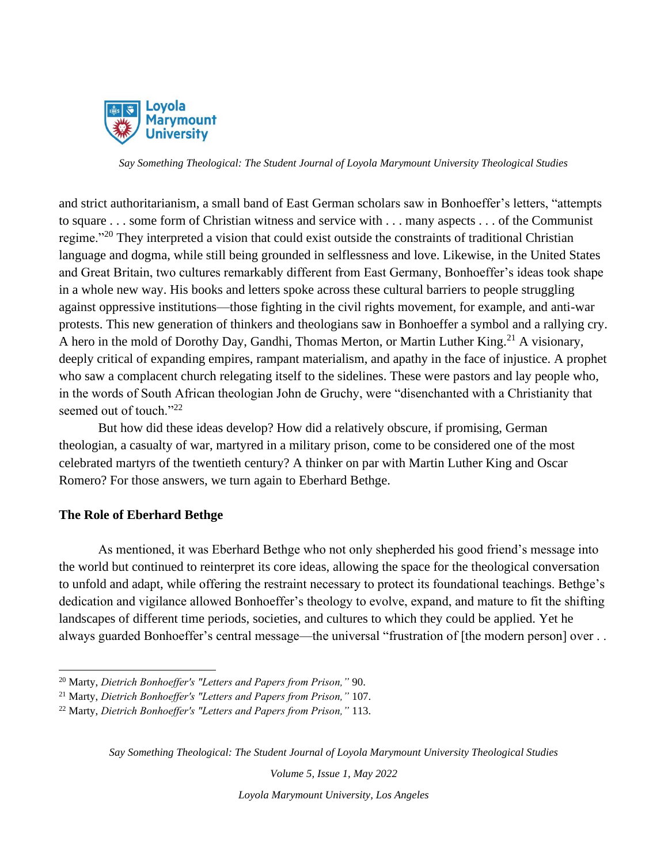

and strict authoritarianism, a small band of East German scholars saw in Bonhoeffer's letters, "attempts to square . . . some form of Christian witness and service with . . . many aspects . . . of the Communist regime."<sup>20</sup> They interpreted a vision that could exist outside the constraints of traditional Christian language and dogma, while still being grounded in selflessness and love. Likewise, in the United States and Great Britain, two cultures remarkably different from East Germany, Bonhoeffer's ideas took shape in a whole new way. His books and letters spoke across these cultural barriers to people struggling against oppressive institutions—those fighting in the civil rights movement, for example, and anti-war protests. This new generation of thinkers and theologians saw in Bonhoeffer a symbol and a rallying cry. A hero in the mold of Dorothy Day, Gandhi, Thomas Merton, or Martin Luther King.<sup>21</sup> A visionary, deeply critical of expanding empires, rampant materialism, and apathy in the face of injustice. A prophet who saw a complacent church relegating itself to the sidelines. These were pastors and lay people who, in the words of South African theologian John de Gruchy, were "disenchanted with a Christianity that seemed out of touch."<sup>22</sup>

But how did these ideas develop? How did a relatively obscure, if promising, German theologian, a casualty of war, martyred in a military prison, come to be considered one of the most celebrated martyrs of the twentieth century? A thinker on par with Martin Luther King and Oscar Romero? For those answers, we turn again to Eberhard Bethge.

### **The Role of Eberhard Bethge**

As mentioned, it was Eberhard Bethge who not only shepherded his good friend's message into the world but continued to reinterpret its core ideas, allowing the space for the theological conversation to unfold and adapt, while offering the restraint necessary to protect its foundational teachings. Bethge's dedication and vigilance allowed Bonhoeffer's theology to evolve, expand, and mature to fit the shifting landscapes of different time periods, societies, and cultures to which they could be applied. Yet he always guarded Bonhoeffer's central message—the universal "frustration of [the modern person] over . .

*Say Something Theological: The Student Journal of Loyola Marymount University Theological Studies*

*Volume 5, Issue 1, May 2022*

<sup>20</sup> Marty, *Dietrich Bonhoeffer's "Letters and Papers from Prison,"* 90.

<sup>21</sup> Marty, *Dietrich Bonhoeffer's "Letters and Papers from Prison,"* 107.

<sup>22</sup> Marty, *Dietrich Bonhoeffer's "Letters and Papers from Prison,"* 113.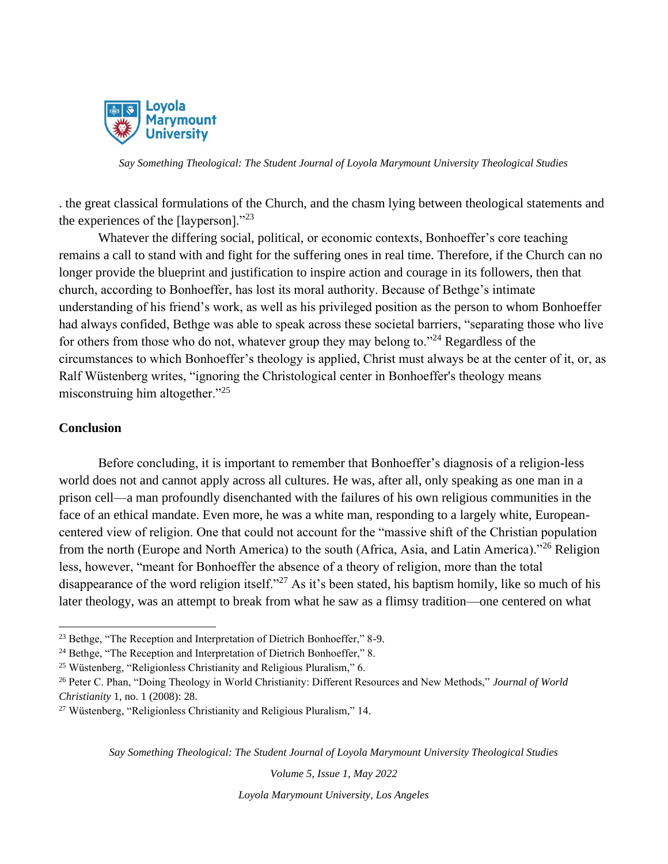

. the great classical formulations of the Church, and the chasm lying between theological statements and the experiences of the [layperson]."<sup>23</sup>

Whatever the differing social, political, or economic contexts, Bonhoeffer's core teaching remains a call to stand with and fight for the suffering ones in real time. Therefore, if the Church can no longer provide the blueprint and justification to inspire action and courage in its followers, then that church, according to Bonhoeffer, has lost its moral authority. Because of Bethge's intimate understanding of his friend's work, as well as his privileged position as the person to whom Bonhoeffer had always confided, Bethge was able to speak across these societal barriers, "separating those who live for others from those who do not, whatever group they may belong to."<sup>24</sup> Regardless of the circumstances to which Bonhoeffer's theology is applied, Christ must always be at the center of it, or, as Ralf Wüstenberg writes, "ignoring the Christological center in Bonhoeffer's theology means misconstruing him altogether."<sup>25</sup>

#### **Conclusion**

Before concluding, it is important to remember that Bonhoeffer's diagnosis of a religion-less world does not and cannot apply across all cultures. He was, after all, only speaking as one man in a prison cell—a man profoundly disenchanted with the failures of his own religious communities in the face of an ethical mandate. Even more, he was a white man, responding to a largely white, Europeancentered view of religion. One that could not account for the "massive shift of the Christian population from the north (Europe and North America) to the south (Africa, Asia, and Latin America)."<sup>26</sup> Religion less, however, "meant for Bonhoeffer the absence of a theory of religion, more than the total disappearance of the word religion itself."<sup>27</sup> As it's been stated, his baptism homily, like so much of his later theology, was an attempt to break from what he saw as a flimsy tradition—one centered on what

*Say Something Theological: The Student Journal of Loyola Marymount University Theological Studies*

*Volume 5, Issue 1, May 2022*

<sup>&</sup>lt;sup>23</sup> Bethge, "The Reception and Interpretation of Dietrich Bonhoeffer," 8-9.

<sup>&</sup>lt;sup>24</sup> Bethge, "The Reception and Interpretation of Dietrich Bonhoeffer," 8.

<sup>25</sup> Wüstenberg, "Religionless Christianity and Religious Pluralism," 6.

<sup>26</sup> Peter C. Phan, "Doing Theology in World Christianity: Different Resources and New Methods," *Journal of World Christianity* 1, no. 1 (2008): 28.

<sup>27</sup> Wüstenberg, "Religionless Christianity and Religious Pluralism," 14.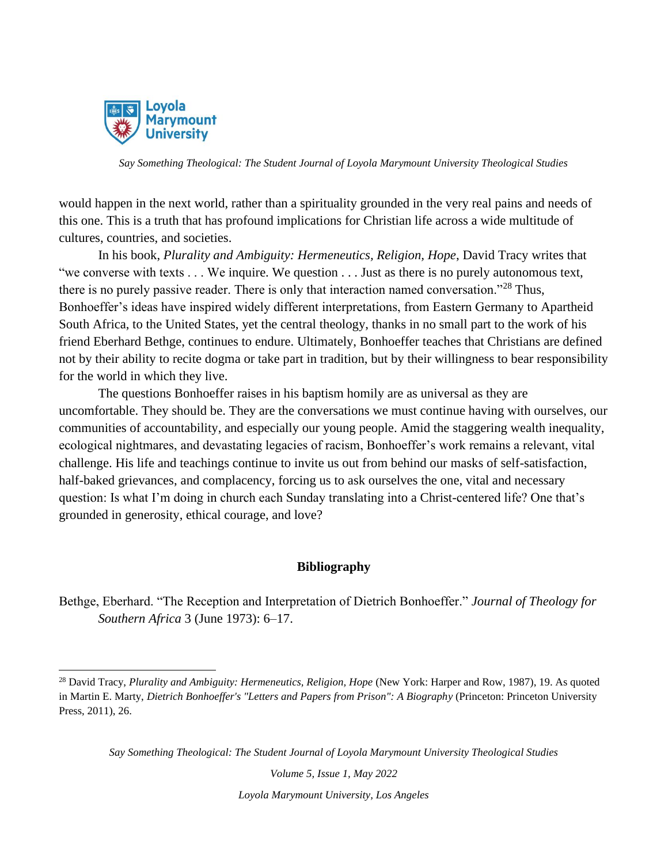

would happen in the next world, rather than a spirituality grounded in the very real pains and needs of this one. This is a truth that has profound implications for Christian life across a wide multitude of cultures, countries, and societies.

In his book, *Plurality and Ambiguity: Hermeneutics, Religion, Hope*, David Tracy writes that "we converse with texts . . . We inquire. We question . . . Just as there is no purely autonomous text, there is no purely passive reader. There is only that interaction named conversation."<sup>28</sup> Thus, Bonhoeffer's ideas have inspired widely different interpretations, from Eastern Germany to Apartheid South Africa, to the United States, yet the central theology, thanks in no small part to the work of his friend Eberhard Bethge, continues to endure. Ultimately, Bonhoeffer teaches that Christians are defined not by their ability to recite dogma or take part in tradition, but by their willingness to bear responsibility for the world in which they live.

The questions Bonhoeffer raises in his baptism homily are as universal as they are uncomfortable. They should be. They are the conversations we must continue having with ourselves, our communities of accountability, and especially our young people. Amid the staggering wealth inequality, ecological nightmares, and devastating legacies of racism, Bonhoeffer's work remains a relevant, vital challenge. His life and teachings continue to invite us out from behind our masks of self-satisfaction, half-baked grievances, and complacency, forcing us to ask ourselves the one, vital and necessary question: Is what I'm doing in church each Sunday translating into a Christ-centered life? One that's grounded in generosity, ethical courage, and love?

## **Bibliography**

Bethge, Eberhard. "The Reception and Interpretation of Dietrich Bonhoeffer." *Journal of Theology for Southern Africa* 3 (June 1973): 6–17.

*Say Something Theological: The Student Journal of Loyola Marymount University Theological Studies*

*Volume 5, Issue 1, May 2022*

<sup>28</sup> David Tracy, *Plurality and Ambiguity: Hermeneutics, Religion, Hope* (New York: Harper and Row, 1987), 19. As quoted in Martin E. Marty, *Dietrich Bonhoeffer's "Letters and Papers from Prison": A Biography* (Princeton: Princeton University Press, 2011), 26.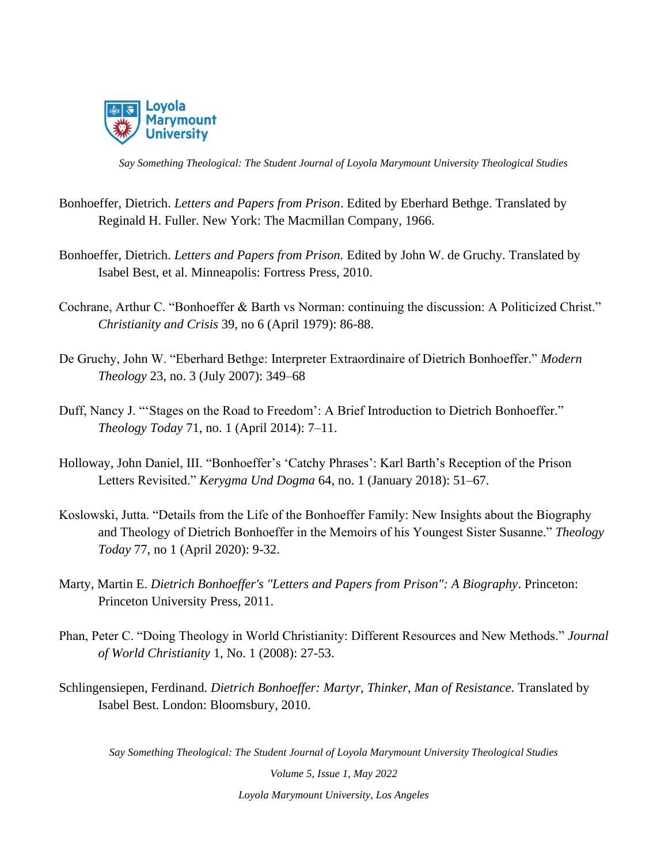

- Bonhoeffer, Dietrich. *Letters and Papers from Prison*. Edited by Eberhard Bethge. Translated by Reginald H. Fuller. New York: The Macmillan Company, 1966.
- Bonhoeffer, Dietrich. *Letters and Papers from Prison.* Edited by John W. de Gruchy. Translated by Isabel Best, et al. Minneapolis: Fortress Press, 2010.
- Cochrane, Arthur C. "Bonhoeffer & Barth vs Norman: continuing the discussion: A Politicized Christ." *Christianity and Crisis* 39, no 6 (April 1979): 86-88.
- De Gruchy, John W. "Eberhard Bethge: Interpreter Extraordinaire of Dietrich Bonhoeffer." *Modern Theology* 23, no. 3 (July 2007): 349–68
- Duff, Nancy J. "'Stages on the Road to Freedom': A Brief Introduction to Dietrich Bonhoeffer." *Theology Today* 71, no. 1 (April 2014): 7–11.
- Holloway, John Daniel, III. "Bonhoeffer's 'Catchy Phrases': Karl Barth's Reception of the Prison Letters Revisited." *Kerygma Und Dogma* 64, no. 1 (January 2018): 51–67.
- Koslowski, Jutta. "Details from the Life of the Bonhoeffer Family: New Insights about the Biography and Theology of Dietrich Bonhoeffer in the Memoirs of his Youngest Sister Susanne." *Theology Today* 77, no 1 (April 2020): 9-32.
- Marty, Martin E. *Dietrich Bonhoeffer's "Letters and Papers from Prison": A Biography*. Princeton: Princeton University Press, 2011.
- Phan, Peter C. "Doing Theology in World Christianity: Different Resources and New Methods." *Journal of World Christianity* 1, No. 1 (2008): 27-53.
- Schlingensiepen, Ferdinand. *Dietrich Bonhoeffer: Martyr, Thinker, Man of Resistance*. Translated by Isabel Best. London: Bloomsbury, 2010.

*Say Something Theological: The Student Journal of Loyola Marymount University Theological Studies*

*Volume 5, Issue 1, May 2022 Loyola Marymount University, Los Angeles*